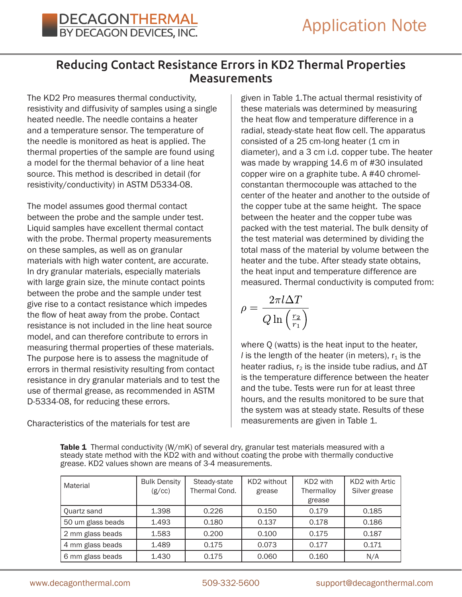## Reducing Contact Resistance Errors in KD2 Thermal Properties Measurements

The KD2 Pro measures thermal conductivity, resistivity and diffusivity of samples using a single heated needle. The needle contains a heater and a temperature sensor. The temperature of the needle is monitored as heat is applied. The thermal properties of the sample are found using a model for the thermal behavior of a line heat source. This method is described in detail (for resistivity/conductivity) in ASTM D5334-08.

The model assumes good thermal contact between the probe and the sample under test. Liquid samples have excellent thermal contact with the probe. Thermal property measurements on these samples, as well as on granular materials with high water content, are accurate. In dry granular materials, especially materials with large grain size, the minute contact points between the probe and the sample under test give rise to a contact resistance which impedes the flow of heat away from the probe. Contact resistance is not included in the line heat source model, and can therefore contribute to errors in measuring thermal properties of these materials. The purpose here is to assess the magnitude of errors in thermal resistivity resulting from contact resistance in dry granular materials and to test the use of thermal grease, as recommended in ASTM D-5334-08, for reducing these errors.

Characteristics of the materials for test are

given in Table 1.The actual thermal resistivity of these materials was determined by measuring the heat flow and temperature difference in a radial, steady-state heat flow cell. The apparatus consisted of a 25 cm-long heater (1 cm in diameter), and a 3 cm i.d. copper tube. The heater was made by wrapping 14.6 m of #30 insulated copper wire on a graphite tube. A #40 chromelconstantan thermocouple was attached to the center of the heater and another to the outside of the copper tube at the same height. The space between the heater and the copper tube was packed with the test material. The bulk density of the test material was determined by dividing the total mass of the material by volume between the heater and the tube. After steady state obtains, the heat input and temperature difference are measured. Thermal conductivity is computed from:

$$
\rho = \frac{2\pi l \Delta T}{Q \ln\left(\frac{r_2}{r_1}\right)}
$$

where Q (watts) is the heat input to the heater, *l* is the length of the heater (in meters),  $r_1$  is the heater radius,  $r_2$  is the inside tube radius, and  $\Delta T$ is the temperature difference between the heater and the tube. Tests were run for at least three hours, and the results monitored to be sure that the system was at steady state. Results of these measurements are given in Table 1.

Table 1 Thermal conductivity (W/mK) of several dry, granular test materials measured with a steady state method with the KD2 with and without coating the probe with thermally conductive grease. KD2 values shown are means of 3-4 measurements.

| Material          | <b>Bulk Density</b><br>(g/cc) | Steady-state<br>Thermal Cond. | KD2 without<br>grease | KD <sub>2</sub> with<br>Thermalloy<br>grease | KD2 with Artic<br>Silver grease |
|-------------------|-------------------------------|-------------------------------|-----------------------|----------------------------------------------|---------------------------------|
| Quartz sand       | 1.398                         | 0.226                         | 0.150                 | 0.179                                        | 0.185                           |
| 50 um glass beads | 1.493                         | 0.180                         | 0.137                 | 0.178                                        | 0.186                           |
| 2 mm glass beads  | 1.583                         | 0.200                         | 0.100                 | 0.175                                        | 0.187                           |
| 4 mm glass beads  | 1.489                         | 0.175                         | 0.073                 | 0.177                                        | 0.171                           |
| 6 mm glass beads  | 1.430                         | 0.175                         | 0.060                 | 0.160                                        | N/A                             |